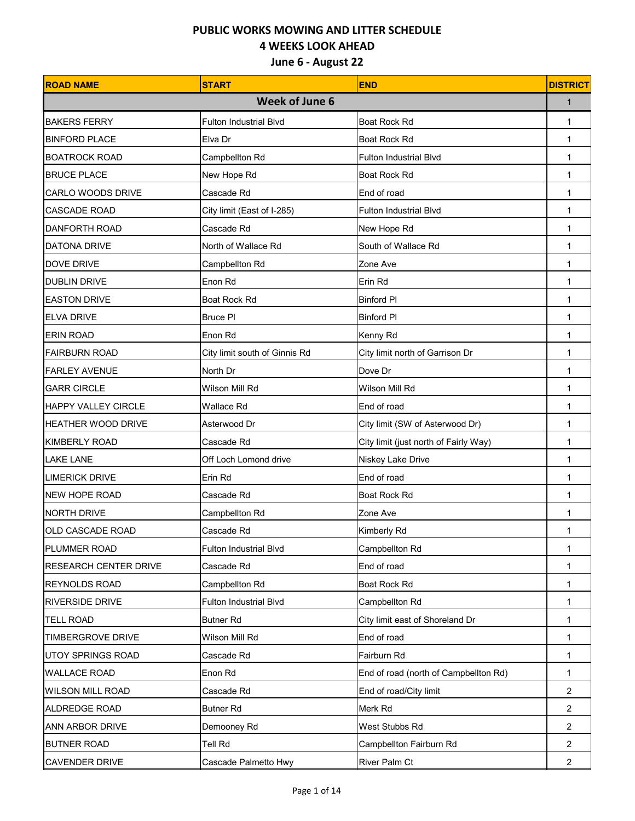| <b>ROAD NAME</b>             | <b>START</b>                  | <b>END</b>                            | <b>DISTRICT</b> |
|------------------------------|-------------------------------|---------------------------------------|-----------------|
|                              | <b>Week of June 6</b>         |                                       | $\mathbf{1}$    |
| <b>BAKERS FERRY</b>          | <b>Fulton Industrial Blvd</b> | Boat Rock Rd                          | 1               |
| <b>BINFORD PLACE</b>         | Elva Dr                       | Boat Rock Rd                          | 1               |
| <b>BOATROCK ROAD</b>         | Campbellton Rd                | <b>Fulton Industrial Blvd</b>         | 1               |
| <b>BRUCE PLACE</b>           | New Hope Rd                   | Boat Rock Rd                          | 1               |
| <b>CARLO WOODS DRIVE</b>     | Cascade Rd                    | End of road                           | 1               |
| <b>CASCADE ROAD</b>          | City limit (East of I-285)    | <b>Fulton Industrial Blvd</b>         | 1               |
| <b>DANFORTH ROAD</b>         | Cascade Rd                    | New Hope Rd                           | 1               |
| <b>DATONA DRIVE</b>          | North of Wallace Rd           | South of Wallace Rd                   | 1               |
| <b>DOVE DRIVE</b>            | Campbellton Rd                | Zone Ave                              | 1               |
| <b>DUBLIN DRIVE</b>          | Enon Rd                       | Erin Rd                               | 1               |
| <b>EASTON DRIVE</b>          | Boat Rock Rd                  | <b>Binford PI</b>                     | 1               |
| <b>ELVA DRIVE</b>            | <b>Bruce PI</b>               | <b>Binford PI</b>                     | 1               |
| <b>ERIN ROAD</b>             | Enon Rd                       | Kenny Rd                              | 1               |
| <b>FAIRBURN ROAD</b>         | City limit south of Ginnis Rd | City limit north of Garrison Dr       | 1               |
| <b>FARLEY AVENUE</b>         | North Dr                      | Dove Dr                               | 1               |
| <b>GARR CIRCLE</b>           | Wilson Mill Rd                | Wilson Mill Rd                        | 1               |
| <b>HAPPY VALLEY CIRCLE</b>   | Wallace Rd                    | End of road                           | 1               |
| HEATHER WOOD DRIVE           | Asterwood Dr                  | City limit (SW of Asterwood Dr)       | 1               |
| <b>KIMBERLY ROAD</b>         | Cascade Rd                    | City limit (just north of Fairly Way) | 1               |
| <b>LAKE LANE</b>             | Off Loch Lomond drive         | Niskey Lake Drive                     | 1               |
| <b>LIMERICK DRIVE</b>        | Erin Rd                       | End of road                           | 1               |
| <b>NEW HOPE ROAD</b>         | Cascade Rd                    | <b>Boat Rock Rd</b>                   | 1               |
| <b>NORTH DRIVE</b>           | Campbellton Rd                | Zone Ave                              | 1               |
| <b>OLD CASCADE ROAD</b>      | Cascade Rd                    | Kimberly Rd                           | 1               |
| PLUMMER ROAD                 | Fulton Industrial Blvd        | Campbellton Rd                        | 1               |
| <b>RESEARCH CENTER DRIVE</b> | Cascade Rd                    | End of road                           | 1               |
| <b>REYNOLDS ROAD</b>         | Campbellton Rd                | Boat Rock Rd                          | 1               |
| <b>RIVERSIDE DRIVE</b>       | Fulton Industrial Blvd        | Campbellton Rd                        | 1               |
| <b>TELL ROAD</b>             | <b>Butner Rd</b>              | City limit east of Shoreland Dr       | 1               |
| <b>TIMBERGROVE DRIVE</b>     | Wilson Mill Rd                | End of road                           | 1               |
| <b>UTOY SPRINGS ROAD</b>     | Cascade Rd                    | Fairburn Rd                           | 1               |
| <b>WALLACE ROAD</b>          | Enon Rd                       | End of road (north of Campbellton Rd) | $\mathbf{1}$    |
| <b>WILSON MILL ROAD</b>      | Cascade Rd                    | End of road/City limit                | $\overline{2}$  |
| <b>ALDREDGE ROAD</b>         | <b>Butner Rd</b>              | Merk Rd                               | $\overline{c}$  |
| ANN ARBOR DRIVE              | Demooney Rd                   | West Stubbs Rd                        | $\overline{2}$  |
| <b>BUTNER ROAD</b>           | Tell Rd                       | Campbellton Fairburn Rd               | $\overline{2}$  |
| CAVENDER DRIVE               | Cascade Palmetto Hwy          | River Palm Ct                         | $\overline{2}$  |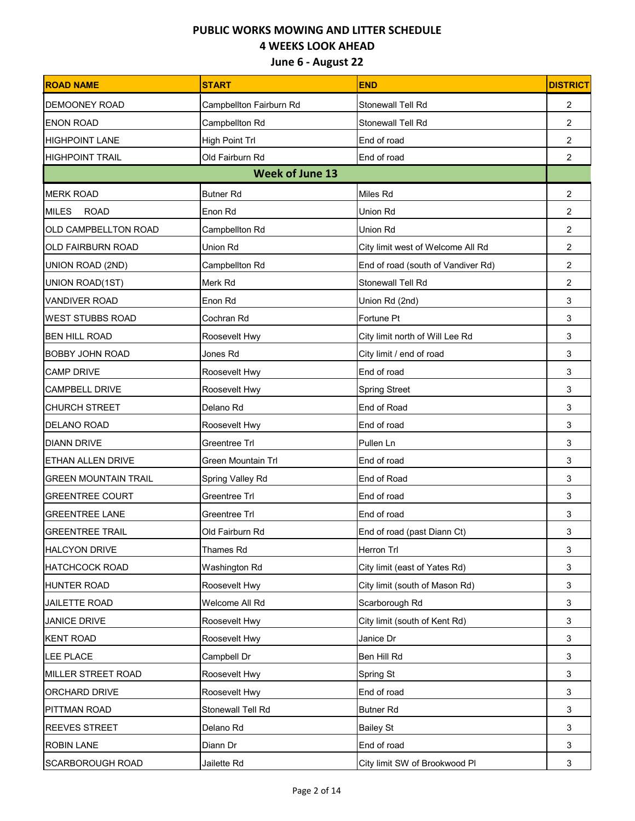| <b>ROAD NAME</b>            | <b>START</b>            | <b>END</b>                         | <b>DISTRICT</b> |
|-----------------------------|-------------------------|------------------------------------|-----------------|
| <b>DEMOONEY ROAD</b>        | Campbellton Fairburn Rd | Stonewall Tell Rd                  | $\overline{2}$  |
| <b>ENON ROAD</b>            | Campbellton Rd          | Stonewall Tell Rd                  | $\overline{2}$  |
| <b>HIGHPOINT LANE</b>       | High Point Trl          | End of road                        | $\overline{2}$  |
| <b>HIGHPOINT TRAIL</b>      | Old Fairburn Rd         | End of road                        | $\overline{2}$  |
|                             | <b>Week of June 13</b>  |                                    |                 |
| <b>MERK ROAD</b>            | <b>Butner Rd</b>        | Miles Rd                           | 2               |
| <b>MILES</b><br><b>ROAD</b> | Enon Rd                 | Union Rd                           | $\overline{2}$  |
| OLD CAMPBELLTON ROAD        | Campbellton Rd          | Union Rd                           | $\overline{2}$  |
| <b>OLD FAIRBURN ROAD</b>    | Union Rd                | City limit west of Welcome All Rd  | $\overline{c}$  |
| UNION ROAD (2ND)            | Campbellton Rd          | End of road (south of Vandiver Rd) | $\overline{2}$  |
| UNION ROAD(1ST)             | Merk Rd                 | Stonewall Tell Rd                  | $\overline{c}$  |
| <b>VANDIVER ROAD</b>        | Enon Rd                 | Union Rd (2nd)                     | 3               |
| <b>WEST STUBBS ROAD</b>     | Cochran Rd              | Fortune Pt                         | 3               |
| <b>BEN HILL ROAD</b>        | Roosevelt Hwy           | City limit north of Will Lee Rd    | 3               |
| <b>BOBBY JOHN ROAD</b>      | Jones Rd                | City limit / end of road           | 3               |
| <b>CAMP DRIVE</b>           | Roosevelt Hwy           | End of road                        | 3               |
| <b>CAMPBELL DRIVE</b>       | Roosevelt Hwy           | <b>Spring Street</b>               | 3               |
| <b>CHURCH STREET</b>        | Delano Rd               | End of Road                        | 3               |
| <b>DELANO ROAD</b>          | Roosevelt Hwy           | End of road                        | 3               |
| <b>DIANN DRIVE</b>          | Greentree Trl           | Pullen Ln                          | 3               |
| <b>ETHAN ALLEN DRIVE</b>    | Green Mountain Trl      | End of road                        | 3               |
| <b>GREEN MOUNTAIN TRAIL</b> | Spring Valley Rd        | End of Road                        | 3               |
| <b>GREENTREE COURT</b>      | Greentree Trl           | End of road                        | 3               |
| <b>GREENTREE LANE</b>       | Greentree Trl           | End of road                        | 3               |
| <b>GREENTREE TRAIL</b>      | Old Fairburn Rd         | End of road (past Diann Ct)        | 3               |
| <b>HALCYON DRIVE</b>        | Thames Rd               | Herron Trl                         | 3               |
| <b>HATCHCOCK ROAD</b>       | Washington Rd           | City limit (east of Yates Rd)      | 3               |
| <b>HUNTER ROAD</b>          | Roosevelt Hwy           | City limit (south of Mason Rd)     | 3               |
| <b>JAILETTE ROAD</b>        | Welcome All Rd          | Scarborough Rd                     | 3               |
| <b>JANICE DRIVE</b>         | Roosevelt Hwy           | City limit (south of Kent Rd)      | 3               |
| <b>KENT ROAD</b>            | Roosevelt Hwy           | Janice Dr                          | 3               |
| LEE PLACE                   | Campbell Dr             | Ben Hill Rd                        | 3               |
| MILLER STREET ROAD          | Roosevelt Hwy           | Spring St                          | 3               |
| ORCHARD DRIVE               | Roosevelt Hwy           | End of road                        | 3               |
| PITTMAN ROAD                | Stonewall Tell Rd       | <b>Butner Rd</b>                   | 3               |
| REEVES STREET               | Delano Rd               | <b>Bailey St</b>                   | 3               |
| <b>ROBIN LANE</b>           | Diann Dr                | End of road                        | 3               |
| SCARBOROUGH ROAD            | Jailette Rd             | City limit SW of Brookwood Pl      | 3               |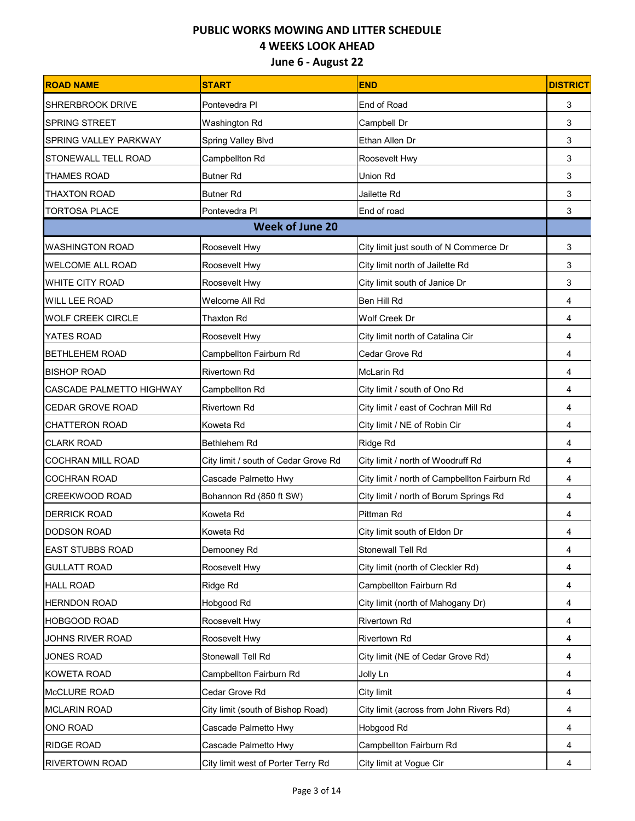| <b>ROAD NAME</b>         | <b>START</b>                         | <b>END</b>                                    | <b>DISTRICT</b> |
|--------------------------|--------------------------------------|-----------------------------------------------|-----------------|
| <b>SHRERBROOK DRIVE</b>  | Pontevedra Pl                        | End of Road                                   | 3               |
| <b>SPRING STREET</b>     | Washington Rd                        | Campbell Dr                                   | 3               |
| SPRING VALLEY PARKWAY    | Spring Valley Blvd                   | Ethan Allen Dr                                | 3               |
| STONEWALL TELL ROAD      | Campbellton Rd                       | Roosevelt Hwy                                 | 3               |
| <b>THAMES ROAD</b>       | <b>Butner Rd</b>                     | <b>Union Rd</b>                               | 3               |
| <b>THAXTON ROAD</b>      | <b>Butner Rd</b>                     | Jailette Rd                                   | 3               |
| <b>TORTOSA PLACE</b>     | Pontevedra Pl                        | End of road                                   | 3               |
|                          | <b>Week of June 20</b>               |                                               |                 |
| <b>WASHINGTON ROAD</b>   | Roosevelt Hwy                        | City limit just south of N Commerce Dr        | 3               |
| <b>WELCOME ALL ROAD</b>  | Roosevelt Hwy                        | City limit north of Jailette Rd               | 3               |
| <b>WHITE CITY ROAD</b>   | Roosevelt Hwy                        | City limit south of Janice Dr                 | 3               |
| WILL LEE ROAD            | Welcome All Rd                       | Ben Hill Rd                                   | 4               |
| <b>WOLF CREEK CIRCLE</b> | Thaxton Rd                           | Wolf Creek Dr                                 | 4               |
| YATES ROAD               | Roosevelt Hwy                        | City limit north of Catalina Cir              | 4               |
| <b>BETHLEHEM ROAD</b>    | Campbellton Fairburn Rd              | Cedar Grove Rd                                | 4               |
| <b>BISHOP ROAD</b>       | <b>Rivertown Rd</b>                  | <b>McLarin Rd</b>                             | 4               |
| CASCADE PALMETTO HIGHWAY | Campbellton Rd                       | City limit / south of Ono Rd                  | 4               |
| CEDAR GROVE ROAD         | <b>Rivertown Rd</b>                  | City limit / east of Cochran Mill Rd          | 4               |
| <b>CHATTERON ROAD</b>    | Koweta Rd                            | City limit / NE of Robin Cir                  | 4               |
| <b>CLARK ROAD</b>        | Bethlehem Rd                         | Ridge Rd                                      | 4               |
| <b>COCHRAN MILL ROAD</b> | City limit / south of Cedar Grove Rd | City limit / north of Woodruff Rd             | 4               |
| <b>COCHRAN ROAD</b>      | Cascade Palmetto Hwy                 | City limit / north of Campbellton Fairburn Rd | 4               |
| CREEKWOOD ROAD           | Bohannon Rd (850 ft SW)              | City limit / north of Borum Springs Rd        | 4               |
| <b>DERRICK ROAD</b>      | Koweta Rd                            | Pittman Rd                                    | 4               |
| <b>DODSON ROAD</b>       | Koweta Rd                            | City limit south of Eldon Dr                  | 4               |
| <b>EAST STUBBS ROAD</b>  | Demooney Rd                          | Stonewall Tell Rd                             | 4               |
| <b>GULLATT ROAD</b>      | Roosevelt Hwy                        | City limit (north of Cleckler Rd)             | 4               |
| <b>HALL ROAD</b>         | Ridge Rd                             | Campbellton Fairburn Rd                       | 4               |
| <b>HERNDON ROAD</b>      | Hobgood Rd                           | City limit (north of Mahogany Dr)             | 4               |
| HOBGOOD ROAD             | Roosevelt Hwy                        | <b>Rivertown Rd</b>                           | 4               |
| JOHNS RIVER ROAD         | Roosevelt Hwy                        | Rivertown Rd                                  | 4               |
| JONES ROAD               | Stonewall Tell Rd                    | City limit (NE of Cedar Grove Rd)             | 4               |
| KOWETA ROAD              | Campbellton Fairburn Rd              | Jolly Ln                                      | 4               |
| McCLURE ROAD             | Cedar Grove Rd                       | City limit                                    | 4               |
| <b>MCLARIN ROAD</b>      | City limit (south of Bishop Road)    | City limit (across from John Rivers Rd)       | 4               |
| ONO ROAD                 | Cascade Palmetto Hwy                 | Hobgood Rd                                    | 4               |
| <b>RIDGE ROAD</b>        | Cascade Palmetto Hwy                 | Campbellton Fairburn Rd                       | 4               |
| RIVERTOWN ROAD           | City limit west of Porter Terry Rd   | City limit at Vogue Cir                       | 4               |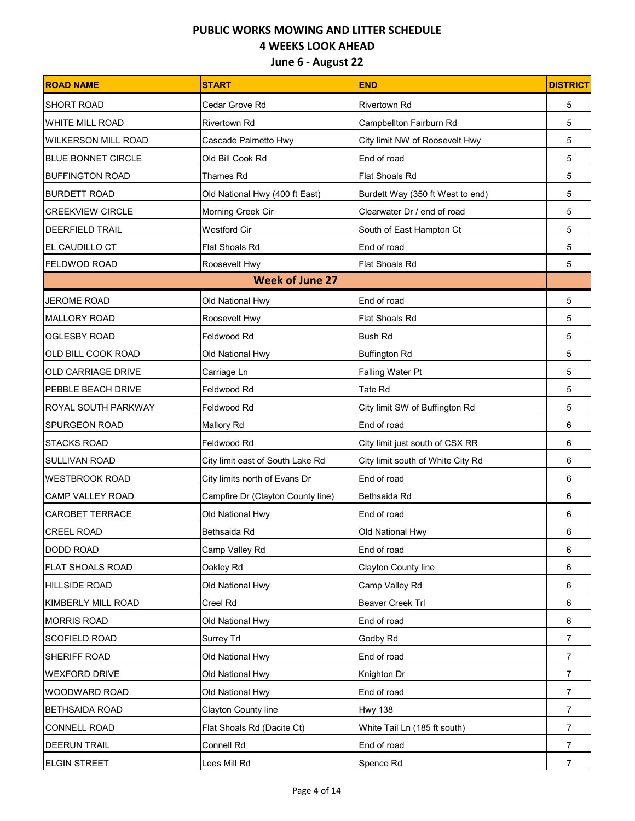| <b>ROAD NAME</b>           | <b>START</b>                      | <b>END</b>                        | <b>DISTRICT</b> |
|----------------------------|-----------------------------------|-----------------------------------|-----------------|
| <b>SHORT ROAD</b>          | Cedar Grove Rd                    | Rivertown Rd                      | 5               |
| <b>WHITE MILL ROAD</b>     | <b>Rivertown Rd</b>               | Campbellton Fairburn Rd           | 5               |
| <b>WILKERSON MILL ROAD</b> | Cascade Palmetto Hwy              | City limit NW of Roosevelt Hwy    | 5               |
| <b>BLUE BONNET CIRCLE</b>  | Old Bill Cook Rd                  | End of road                       | 5               |
| <b>BUFFINGTON ROAD</b>     | <b>Thames Rd</b>                  | <b>Flat Shoals Rd</b>             | 5               |
| <b>BURDETT ROAD</b>        | Old National Hwy (400 ft East)    | Burdett Way (350 ft West to end)  | 5               |
| <b>CREEKVIEW CIRCLE</b>    | Morning Creek Cir                 | Clearwater Dr / end of road       | 5               |
| <b>DEERFIELD TRAIL</b>     | <b>Westford Cir</b>               | South of East Hampton Ct          | 5               |
| EL CAUDILLO CT             | Flat Shoals Rd                    | End of road                       | 5               |
| <b>FELDWOD ROAD</b>        | Roosevelt Hwy                     | Flat Shoals Rd                    | 5               |
|                            | <b>Week of June 27</b>            |                                   |                 |
| <b>JEROME ROAD</b>         | Old National Hwy                  | End of road                       | 5               |
| <b>MALLORY ROAD</b>        | Roosevelt Hwy                     | Flat Shoals Rd                    | 5               |
| <b>OGLESBY ROAD</b>        | Feldwood Rd                       | <b>Bush Rd</b>                    | 5               |
| OLD BILL COOK ROAD         | Old National Hwy                  | <b>Buffington Rd</b>              | 5               |
| <b>OLD CARRIAGE DRIVE</b>  | Carriage Ln                       | Falling Water Pt                  | 5               |
| <b>PEBBLE BEACH DRIVE</b>  | Feldwood Rd                       | Tate Rd                           | 5               |
| <b>ROYAL SOUTH PARKWAY</b> | Feldwood Rd                       | City limit SW of Buffington Rd    | 5               |
| <b>SPURGEON ROAD</b>       | <b>Mallory Rd</b>                 | End of road                       | 6               |
| <b>STACKS ROAD</b>         | Feldwood Rd                       | City limit just south of CSX RR   | 6               |
| <b>SULLIVAN ROAD</b>       | City limit east of South Lake Rd  | City limit south of White City Rd | 6               |
| <b>WESTBROOK ROAD</b>      | City limits north of Evans Dr     | End of road                       | 6               |
| <b>CAMP VALLEY ROAD</b>    | Campfire Dr (Clayton County line) | Bethsaida Rd                      | 6               |
| <b>CAROBET TERRACE</b>     | Old National Hwy                  | End of road                       | 6               |
| <b>CREEL ROAD</b>          | Bethsaida Rd                      | Old National Hwy                  | 6               |
| <b>DODD ROAD</b>           | Camp Valley Rd                    | End of road                       | 6               |
| <b>FLAT SHOALS ROAD</b>    | Oakley Rd                         | Clayton County line               | 6               |
| <b>HILLSIDE ROAD</b>       | Old National Hwy                  | Camp Valley Rd                    | 6               |
| KIMBERLY MILL ROAD         | Creel Rd                          | Beaver Creek Trl                  | 6               |
| <b>MORRIS ROAD</b>         | Old National Hwy                  | End of road                       | 6               |
| <b>SCOFIELD ROAD</b>       | Surrey Trl                        | Godby Rd                          | $\overline{7}$  |
| SHERIFF ROAD               | Old National Hwy                  | End of road                       | $\overline{7}$  |
| <b>WEXFORD DRIVE</b>       | Old National Hwy                  | Knighton Dr                       | $\overline{7}$  |
| <b>WOODWARD ROAD</b>       | Old National Hwy                  | End of road                       | $\overline{7}$  |
| <b>BETHSAIDA ROAD</b>      | Clayton County line               | <b>Hwy 138</b>                    | $\overline{7}$  |
| CONNELL ROAD               | Flat Shoals Rd (Dacite Ct)        | White Tail Ln (185 ft south)      | $\overline{7}$  |
| DEERUN TRAIL               | Connell Rd                        | End of road                       | $\overline{7}$  |
| ELGIN STREET               | Lees Mill Rd                      | Spence Rd                         | $\overline{7}$  |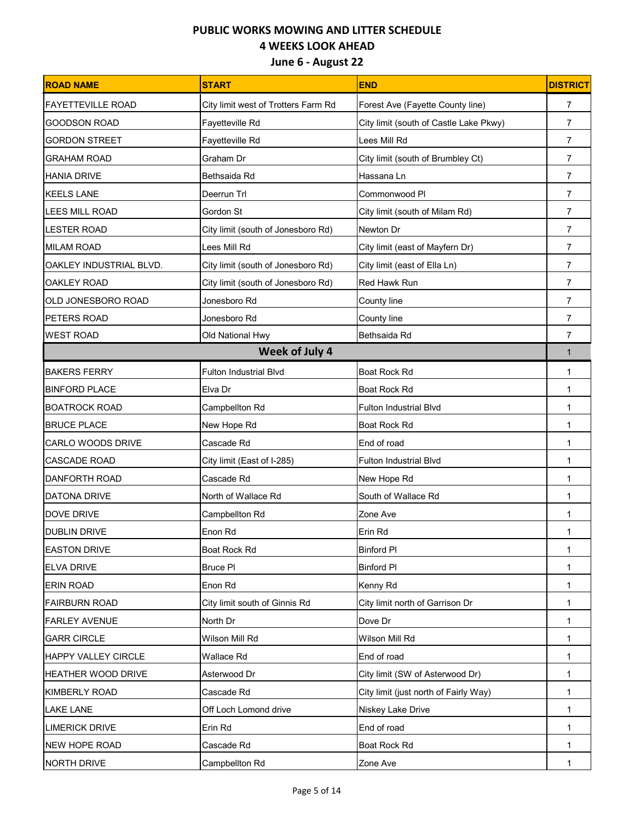| <b>ROAD NAME</b>          | <b>START</b>                        | <b>END</b>                             | <b>DISTRICT</b> |
|---------------------------|-------------------------------------|----------------------------------------|-----------------|
| <b>FAYETTEVILLE ROAD</b>  | City limit west of Trotters Farm Rd | Forest Ave (Fayette County line)       | 7               |
| <b>GOODSON ROAD</b>       | Fayetteville Rd                     | City limit (south of Castle Lake Pkwy) | 7               |
| <b>GORDON STREET</b>      | Fayetteville Rd                     | Lees Mill Rd                           | $\overline{7}$  |
| <b>GRAHAM ROAD</b>        | Graham Dr                           | City limit (south of Brumbley Ct)      | $\overline{7}$  |
| <b>HANIA DRIVE</b>        | Bethsaida Rd                        | Hassana Ln                             | $\overline{7}$  |
| <b>KEELS LANE</b>         | Deerrun Trl                         | Commonwood PI                          | $\overline{7}$  |
| <b>LEES MILL ROAD</b>     | Gordon St                           | City limit (south of Milam Rd)         | 7               |
| <b>LESTER ROAD</b>        | City limit (south of Jonesboro Rd)  | Newton Dr                              | 7               |
| <b>MILAM ROAD</b>         | Lees Mill Rd                        | City limit (east of Mayfern Dr)        | $\overline{7}$  |
| OAKLEY INDUSTRIAL BLVD.   | City limit (south of Jonesboro Rd)  | City limit (east of Ella Ln)           | $\overline{7}$  |
| <b>OAKLEY ROAD</b>        | City limit (south of Jonesboro Rd)  | Red Hawk Run                           | $\overline{7}$  |
| <b>OLD JONESBORO ROAD</b> | Jonesboro Rd                        | County line                            | $\overline{7}$  |
| <b>PETERS ROAD</b>        | Jonesboro Rd                        | County line                            | $\overline{7}$  |
| <b>WEST ROAD</b>          | Old National Hwy                    | Bethsaida Rd                           | $\overline{7}$  |
|                           | Week of July 4                      |                                        | $\mathbf{1}$    |
| <b>BAKERS FERRY</b>       | <b>Fulton Industrial Blvd</b>       | Boat Rock Rd                           | 1               |
| <b>BINFORD PLACE</b>      | Elva Dr                             | Boat Rock Rd                           | 1               |
| <b>BOATROCK ROAD</b>      | Campbellton Rd                      | <b>Fulton Industrial Blvd</b>          | 1               |
| <b>BRUCE PLACE</b>        | New Hope Rd                         | Boat Rock Rd                           | 1               |
| CARLO WOODS DRIVE         | Cascade Rd                          | End of road                            | 1               |
| <b>CASCADE ROAD</b>       | City limit (East of I-285)          | <b>Fulton Industrial Blvd</b>          | 1               |
| DANFORTH ROAD             | Cascade Rd                          | New Hope Rd                            | 1               |
| <b>DATONA DRIVE</b>       | North of Wallace Rd                 | South of Wallace Rd                    | 1               |
| DOVE DRIVE                | Campbellton Rd                      | Zone Ave                               | 1               |
| <b>DUBLIN DRIVE</b>       | Enon Rd                             | Erin Rd                                | 1               |
| <b>EASTON DRIVE</b>       | Boat Rock Rd                        | <b>Binford PI</b>                      | 1               |
| <b>ELVA DRIVE</b>         | <b>Bruce PI</b>                     | <b>Binford PI</b>                      | 1               |
| <b>ERIN ROAD</b>          | Enon Rd                             | Kenny Rd                               | 1               |
| <b>FAIRBURN ROAD</b>      | City limit south of Ginnis Rd       | City limit north of Garrison Dr        | 1               |
| <b>FARLEY AVENUE</b>      | North Dr                            | Dove Dr                                | 1               |
| <b>GARR CIRCLE</b>        | Wilson Mill Rd                      | Wilson Mill Rd                         | 1               |
| HAPPY VALLEY CIRCLE       | Wallace Rd                          | End of road                            | 1               |
| <b>HEATHER WOOD DRIVE</b> | Asterwood Dr                        | City limit (SW of Asterwood Dr)        | 1               |
| <b>KIMBERLY ROAD</b>      | Cascade Rd                          | City limit (just north of Fairly Way)  | 1               |
| <b>LAKE LANE</b>          | Off Loch Lomond drive               | Niskey Lake Drive                      | $\mathbf 1$     |
| <b>LIMERICK DRIVE</b>     | Erin Rd                             | End of road                            | 1               |
| <b>NEW HOPE ROAD</b>      | Cascade Rd                          | Boat Rock Rd                           | 1               |
| NORTH DRIVE               | Campbellton Rd                      | Zone Ave                               | 1               |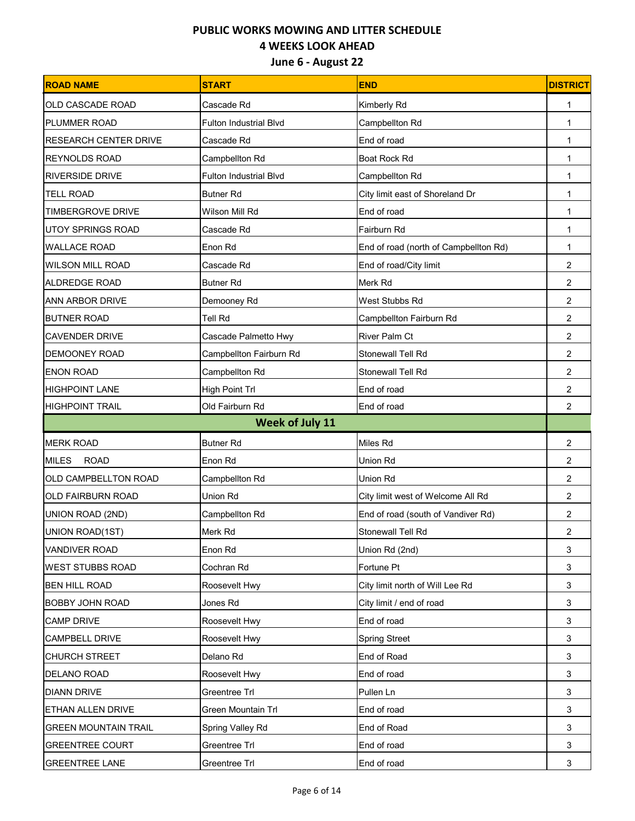| <b>ROAD NAME</b>             | <b>START</b>                  | <b>END</b>                            | <b>DISTRICT</b> |
|------------------------------|-------------------------------|---------------------------------------|-----------------|
| OLD CASCADE ROAD             | Cascade Rd                    | Kimberly Rd                           | 1               |
| PLUMMER ROAD                 | <b>Fulton Industrial Blvd</b> | Campbellton Rd                        | 1               |
| <b>RESEARCH CENTER DRIVE</b> | Cascade Rd                    | End of road                           | 1               |
| <b>REYNOLDS ROAD</b>         | Campbellton Rd                | Boat Rock Rd                          | 1               |
| <b>RIVERSIDE DRIVE</b>       | <b>Fulton Industrial Blvd</b> | Campbellton Rd                        | 1               |
| <b>TELL ROAD</b>             | <b>Butner Rd</b>              | City limit east of Shoreland Dr       | 1               |
| <b>TIMBERGROVE DRIVE</b>     | Wilson Mill Rd                | End of road                           | 1               |
| <b>UTOY SPRINGS ROAD</b>     | Cascade Rd                    | Fairburn Rd                           | 1               |
| <b>WALLACE ROAD</b>          | Enon Rd                       | End of road (north of Campbellton Rd) | 1               |
| <b>WILSON MILL ROAD</b>      | Cascade Rd                    | End of road/City limit                | $\overline{2}$  |
| ALDREDGE ROAD                | <b>Butner Rd</b>              | Merk Rd                               | $\overline{2}$  |
| <b>ANN ARBOR DRIVE</b>       | Demooney Rd                   | West Stubbs Rd                        | $\overline{2}$  |
| <b>BUTNER ROAD</b>           | Tell Rd                       | Campbellton Fairburn Rd               | $\overline{2}$  |
| <b>CAVENDER DRIVE</b>        | Cascade Palmetto Hwy          | River Palm Ct                         | $\overline{2}$  |
| <b>DEMOONEY ROAD</b>         | Campbellton Fairburn Rd       | Stonewall Tell Rd                     | $\overline{2}$  |
| <b>ENON ROAD</b>             | Campbellton Rd                | Stonewall Tell Rd                     | 2               |
| <b>HIGHPOINT LANE</b>        | High Point Trl                | End of road                           | $\overline{2}$  |
| <b>HIGHPOINT TRAIL</b>       | Old Fairburn Rd               | End of road                           | $\overline{2}$  |
|                              | <b>Week of July 11</b>        |                                       |                 |
| <b>MERK ROAD</b>             | <b>Butner Rd</b>              | Miles Rd                              | $\overline{2}$  |
| <b>MILES</b><br><b>ROAD</b>  | Enon Rd                       | Union Rd                              | $\overline{2}$  |
| OLD CAMPBELLTON ROAD         | Campbellton Rd                | Union Rd                              | $\overline{2}$  |
| <b>OLD FAIRBURN ROAD</b>     | Union Rd                      | City limit west of Welcome All Rd     | $\overline{2}$  |
| UNION ROAD (2ND)             | Campbellton Rd                | End of road (south of Vandiver Rd)    | $\overline{2}$  |
| UNION ROAD(1ST)              | Merk Rd                       | Stonewall Tell Rd                     | $\overline{c}$  |
| <b>VANDIVER ROAD</b>         | Enon Rd                       | Union Rd (2nd)                        | 3               |
| <b>WEST STUBBS ROAD</b>      | Cochran Rd                    | Fortune Pt                            | 3               |
| <b>BEN HILL ROAD</b>         | Roosevelt Hwy                 | City limit north of Will Lee Rd       | 3               |
| <b>BOBBY JOHN ROAD</b>       | Jones Rd                      | City limit / end of road              | 3               |
| <b>CAMP DRIVE</b>            | Roosevelt Hwy                 | End of road                           | 3               |
| <b>CAMPBELL DRIVE</b>        | Roosevelt Hwy                 | <b>Spring Street</b>                  | 3               |
| <b>CHURCH STREET</b>         | Delano Rd                     | End of Road                           | 3               |
| <b>DELANO ROAD</b>           | Roosevelt Hwy                 | End of road                           | 3               |
| <b>DIANN DRIVE</b>           | Greentree Trl                 | Pullen Ln                             | 3               |
| <b>ETHAN ALLEN DRIVE</b>     | Green Mountain Trl            | End of road                           | 3               |
| <b>GREEN MOUNTAIN TRAIL</b>  | Spring Valley Rd              | End of Road                           | 3               |
| <b>GREENTREE COURT</b>       | Greentree Trl                 | End of road                           | 3               |
| <b>GREENTREE LANE</b>        | Greentree Trl                 | End of road                           | 3               |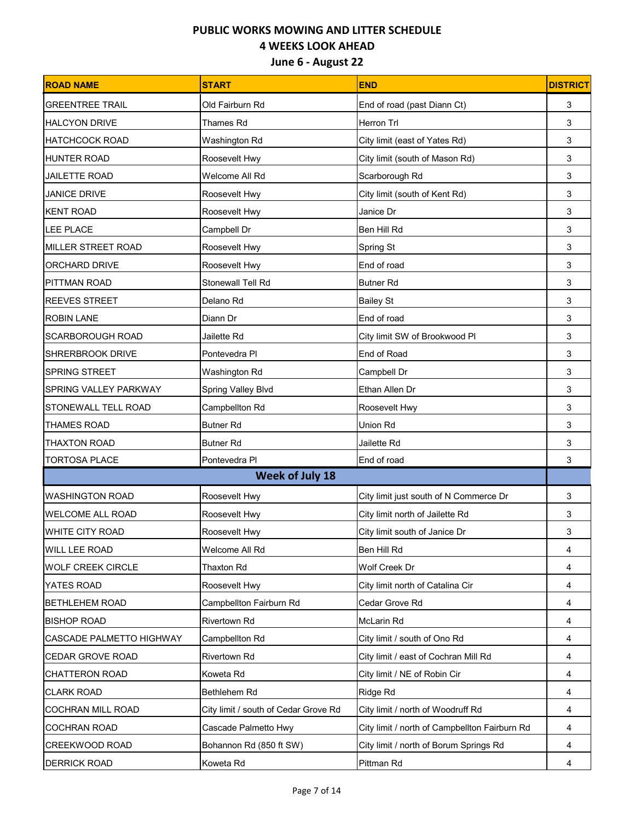| <b>ROAD NAME</b>           | <b>START</b>                         | <b>END</b>                                    | <b>DISTRICT</b> |
|----------------------------|--------------------------------------|-----------------------------------------------|-----------------|
| <b>GREENTREE TRAIL</b>     | Old Fairburn Rd                      | End of road (past Diann Ct)                   | 3               |
| <b>HALCYON DRIVE</b>       | <b>Thames Rd</b>                     | Herron Trl                                    | 3               |
| <b>HATCHCOCK ROAD</b>      | Washington Rd                        | City limit (east of Yates Rd)                 | 3               |
| <b>HUNTER ROAD</b>         | Roosevelt Hwy                        | City limit (south of Mason Rd)                | 3               |
| <b>JAILETTE ROAD</b>       | Welcome All Rd                       | Scarborough Rd                                | 3               |
| <b>JANICE DRIVE</b>        | Roosevelt Hwy                        | City limit (south of Kent Rd)                 | 3               |
| <b>KENT ROAD</b>           | Roosevelt Hwy                        | Janice Dr                                     | 3               |
| <b>LEE PLACE</b>           | Campbell Dr                          | Ben Hill Rd                                   | 3               |
| MILLER STREET ROAD         | Roosevelt Hwy                        | Spring St                                     | 3               |
| <b>ORCHARD DRIVE</b>       | Roosevelt Hwy                        | End of road                                   | 3               |
| <b>PITTMAN ROAD</b>        | Stonewall Tell Rd                    | <b>Butner Rd</b>                              | 3               |
| <b>REEVES STREET</b>       | Delano Rd                            | <b>Bailey St</b>                              | 3               |
| <b>ROBIN LANE</b>          | Diann Dr                             | End of road                                   | 3               |
| <b>SCARBOROUGH ROAD</b>    | Jailette Rd                          | City limit SW of Brookwood Pl                 | 3               |
| <b>SHRERBROOK DRIVE</b>    | Pontevedra Pl                        | End of Road                                   | 3               |
| <b>SPRING STREET</b>       | Washington Rd                        | Campbell Dr                                   | 3               |
| SPRING VALLEY PARKWAY      | Spring Valley Blvd                   | Ethan Allen Dr                                | 3               |
| <b>STONEWALL TELL ROAD</b> | Campbellton Rd                       | Roosevelt Hwy                                 | 3               |
| <b>THAMES ROAD</b>         | <b>Butner Rd</b>                     | <b>Union Rd</b>                               | 3               |
| THAXTON ROAD               | <b>Butner Rd</b>                     | Jailette Rd                                   | 3               |
| <b>TORTOSA PLACE</b>       | Pontevedra Pl                        | End of road                                   | 3               |
| <b>Week of July 18</b>     |                                      |                                               |                 |
| <b>WASHINGTON ROAD</b>     | Roosevelt Hwy                        | City limit just south of N Commerce Dr        | 3               |
| <b>WELCOME ALL ROAD</b>    | Roosevelt Hwy                        | City limit north of Jailette Rd               | 3               |
| <b>WHITE CITY ROAD</b>     | Roosevelt Hwy                        | City limit south of Janice Dr                 | 3               |
| <b>WILL LEE ROAD</b>       | Welcome All Rd                       | Ben Hill Rd                                   | 4               |
| <b>WOLF CREEK CIRCLE</b>   | Thaxton Rd                           | Wolf Creek Dr                                 | 4               |
| YATES ROAD                 | Roosevelt Hwy                        | City limit north of Catalina Cir              | 4               |
| <b>BETHLEHEM ROAD</b>      | Campbellton Fairburn Rd              | Cedar Grove Rd                                | 4               |
| <b>BISHOP ROAD</b>         | <b>Rivertown Rd</b>                  | McLarin Rd                                    | 4               |
| CASCADE PALMETTO HIGHWAY   | Campbellton Rd                       | City limit / south of Ono Rd                  | 4               |
| CEDAR GROVE ROAD           | <b>Rivertown Rd</b>                  | City limit / east of Cochran Mill Rd          | 4               |
| <b>CHATTERON ROAD</b>      | Koweta Rd                            | City limit / NE of Robin Cir                  | 4               |
| <b>CLARK ROAD</b>          | Bethlehem Rd                         | Ridge Rd                                      | 4               |
| <b>COCHRAN MILL ROAD</b>   | City limit / south of Cedar Grove Rd | City limit / north of Woodruff Rd             | 4               |
| <b>COCHRAN ROAD</b>        | Cascade Palmetto Hwy                 | City limit / north of Campbellton Fairburn Rd | 4               |
| CREEKWOOD ROAD             | Bohannon Rd (850 ft SW)              | City limit / north of Borum Springs Rd        | 4               |
| <b>DERRICK ROAD</b>        | Koweta Rd                            | Pittman Rd                                    | 4               |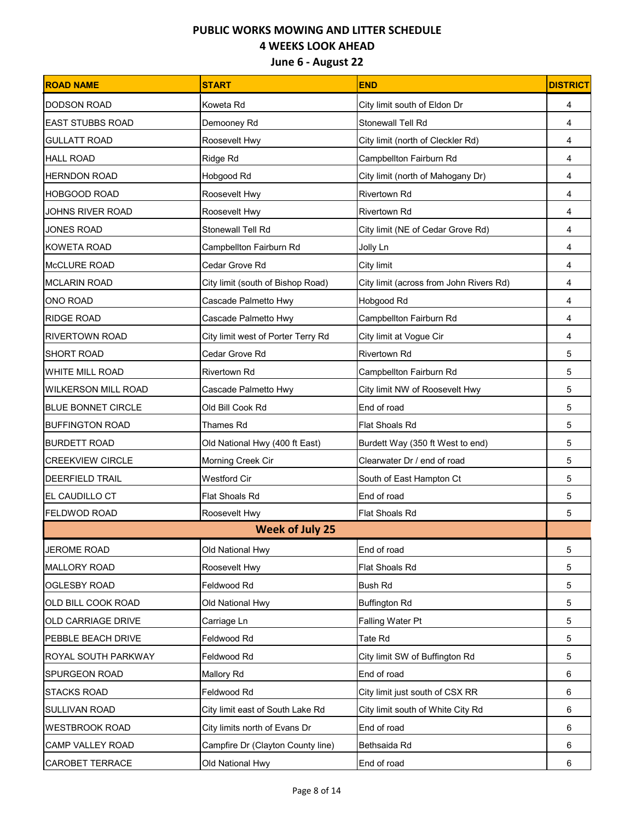| <b>ROAD NAME</b>          | <b>START</b>                       | <b>END</b>                              | <b>DISTRICT</b> |
|---------------------------|------------------------------------|-----------------------------------------|-----------------|
| <b>DODSON ROAD</b>        | Koweta Rd                          | City limit south of Eldon Dr            | 4               |
| <b>EAST STUBBS ROAD</b>   | Demooney Rd                        | Stonewall Tell Rd                       | 4               |
| <b>GULLATT ROAD</b>       | Roosevelt Hwy                      | City limit (north of Cleckler Rd)       | 4               |
| <b>HALL ROAD</b>          | Ridge Rd                           | Campbellton Fairburn Rd                 | 4               |
| <b>HERNDON ROAD</b>       | Hobgood Rd                         | City limit (north of Mahogany Dr)       | 4               |
| <b>HOBGOOD ROAD</b>       | Roosevelt Hwy                      | <b>Rivertown Rd</b>                     | 4               |
| <b>JOHNS RIVER ROAD</b>   | Roosevelt Hwy                      | Rivertown Rd                            | 4               |
| <b>JONES ROAD</b>         | Stonewall Tell Rd                  | City limit (NE of Cedar Grove Rd)       | 4               |
| <b>KOWETA ROAD</b>        | Campbellton Fairburn Rd            | Jolly Ln                                | 4               |
| <b>McCLURE ROAD</b>       | Cedar Grove Rd                     | City limit                              | 4               |
| <b>MCLARIN ROAD</b>       | City limit (south of Bishop Road)  | City limit (across from John Rivers Rd) | 4               |
| ONO ROAD                  | Cascade Palmetto Hwy               | Hobgood Rd                              | 4               |
| <b>RIDGE ROAD</b>         | Cascade Palmetto Hwy               | Campbellton Fairburn Rd                 | 4               |
| <b>RIVERTOWN ROAD</b>     | City limit west of Porter Terry Rd | City limit at Vogue Cir                 | 4               |
| <b>SHORT ROAD</b>         | Cedar Grove Rd                     | <b>Rivertown Rd</b>                     | 5               |
| <b>WHITE MILL ROAD</b>    | <b>Rivertown Rd</b>                | Campbellton Fairburn Rd                 | 5               |
| WILKERSON MILL ROAD       | Cascade Palmetto Hwy               | City limit NW of Roosevelt Hwy          | 5               |
| <b>BLUE BONNET CIRCLE</b> | Old Bill Cook Rd                   | End of road                             | 5               |
| <b>BUFFINGTON ROAD</b>    | Thames Rd                          | Flat Shoals Rd                          | 5               |
| <b>BURDETT ROAD</b>       | Old National Hwy (400 ft East)     | Burdett Way (350 ft West to end)        | 5               |
| <b>CREEKVIEW CIRCLE</b>   | Morning Creek Cir                  | Clearwater Dr / end of road             | 5               |
| <b>DEERFIELD TRAIL</b>    | <b>Westford Cir</b>                | South of East Hampton Ct                | 5               |
| <b>EL CAUDILLO CT</b>     | <b>Flat Shoals Rd</b>              | End of road                             | 5               |
| <b>FELDWOD ROAD</b>       | Roosevelt Hwy                      | <b>Flat Shoals Rd</b>                   | 5               |
|                           | <b>Week of July 25</b>             |                                         |                 |
| <b>JEROME ROAD</b>        | Old National Hwy                   | End of road                             | $\overline{5}$  |
| <b>MALLORY ROAD</b>       | Roosevelt Hwy                      | Flat Shoals Rd                          | 5               |
| <b>OGLESBY ROAD</b>       | Feldwood Rd                        | <b>Bush Rd</b>                          | 5               |
| OLD BILL COOK ROAD        | Old National Hwy                   | <b>Buffington Rd</b>                    | 5               |
| <b>OLD CARRIAGE DRIVE</b> | Carriage Ln                        | <b>Falling Water Pt</b>                 | 5               |
| PEBBLE BEACH DRIVE        | Feldwood Rd                        | Tate Rd                                 | 5               |
| ROYAL SOUTH PARKWAY       | Feldwood Rd                        | City limit SW of Buffington Rd          | 5               |
| SPURGEON ROAD             | <b>Mallory Rd</b>                  | End of road                             | 6               |
| <b>STACKS ROAD</b>        | Feldwood Rd                        | City limit just south of CSX RR         | 6               |
| SULLIVAN ROAD             | City limit east of South Lake Rd   | City limit south of White City Rd       | 6               |
| <b>WESTBROOK ROAD</b>     | City limits north of Evans Dr      | End of road                             | 6               |
| CAMP VALLEY ROAD          | Campfire Dr (Clayton County line)  | Bethsaida Rd                            | 6               |
| <b>CAROBET TERRACE</b>    | Old National Hwy                   | End of road                             | 6               |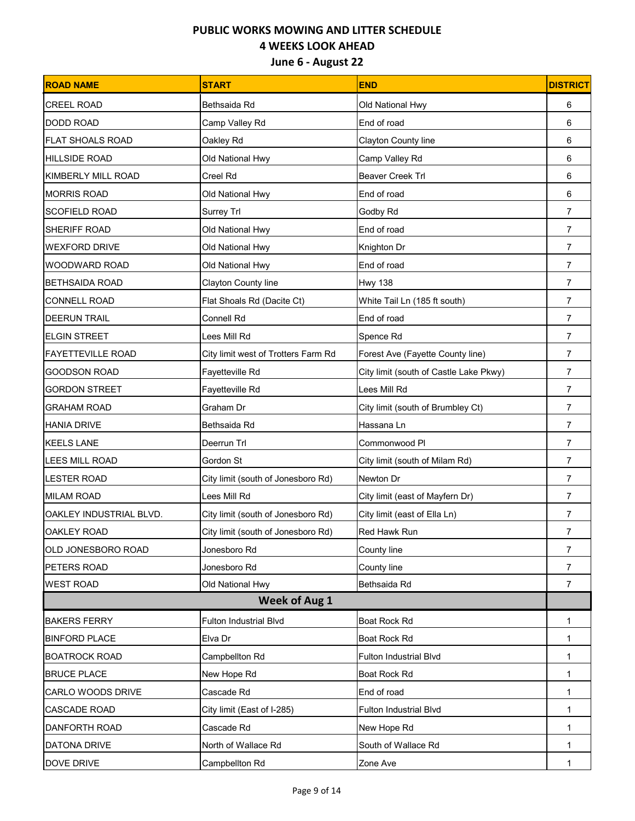| <b>ROAD NAME</b>          | <b>START</b>                        | <b>END</b>                             | <b>DISTRICT</b> |
|---------------------------|-------------------------------------|----------------------------------------|-----------------|
| <b>CREEL ROAD</b>         | Bethsaida Rd                        | Old National Hwy                       | 6               |
| <b>DODD ROAD</b>          | Camp Valley Rd                      | End of road                            | 6               |
| <b>FLAT SHOALS ROAD</b>   | Oakley Rd                           | Clayton County line                    | 6               |
| <b>HILLSIDE ROAD</b>      | Old National Hwy                    | Camp Valley Rd                         | 6               |
| <b>KIMBERLY MILL ROAD</b> | Creel Rd                            | <b>Beaver Creek Trl</b>                | 6               |
| <b>MORRIS ROAD</b>        | Old National Hwy                    | End of road                            | 6               |
| <b>SCOFIELD ROAD</b>      | Surrey Trl                          | Godby Rd                               | 7               |
| SHERIFF ROAD              | Old National Hwy                    | End of road                            | $\overline{7}$  |
| <b>WEXFORD DRIVE</b>      | Old National Hwy                    | Knighton Dr                            | 7               |
| WOODWARD ROAD             | Old National Hwy                    | End of road                            | $\overline{7}$  |
| <b>BETHSAIDA ROAD</b>     | Clayton County line                 | <b>Hwy 138</b>                         | $\overline{7}$  |
| <b>CONNELL ROAD</b>       | Flat Shoals Rd (Dacite Ct)          | White Tail Ln (185 ft south)           | $\overline{7}$  |
| <b>DEERUN TRAIL</b>       | Connell Rd                          | End of road                            | $\overline{7}$  |
| <b>ELGIN STREET</b>       | Lees Mill Rd                        | Spence Rd                              | $\overline{7}$  |
| <b>FAYETTEVILLE ROAD</b>  | City limit west of Trotters Farm Rd | Forest Ave (Fayette County line)       | $\overline{7}$  |
| <b>GOODSON ROAD</b>       | Fayetteville Rd                     | City limit (south of Castle Lake Pkwy) | $\overline{7}$  |
| <b>GORDON STREET</b>      | Fayetteville Rd                     | Lees Mill Rd                           | $\overline{7}$  |
| <b>GRAHAM ROAD</b>        | Graham Dr                           | City limit (south of Brumbley Ct)      | $\overline{7}$  |
| <b>HANIA DRIVE</b>        | Bethsaida Rd                        | Hassana Ln                             | $\overline{7}$  |
| <b>KEELS LANE</b>         | Deerrun Trl                         | Commonwood Pl                          | $\overline{7}$  |
| <b>LEES MILL ROAD</b>     | Gordon St                           | City limit (south of Milam Rd)         | $\overline{7}$  |
| <b>LESTER ROAD</b>        | City limit (south of Jonesboro Rd)  | Newton Dr                              | $\overline{7}$  |
| <b>MILAM ROAD</b>         | Lees Mill Rd                        | City limit (east of Mayfern Dr)        | $\overline{7}$  |
| OAKLEY INDUSTRIAL BLVD.   | City limit (south of Jonesboro Rd)  | City limit (east of Ella Ln)           | $\overline{7}$  |
| <b>OAKLEY ROAD</b>        | City limit (south of Jonesboro Rd)  | <b>Red Hawk Run</b>                    | $\overline{7}$  |
| OLD JONESBORO ROAD        | Jonesboro Rd                        | County line                            | $\overline{7}$  |
| PETERS ROAD               | Jonesboro Rd                        | County line                            | $\overline{7}$  |
| <b>WEST ROAD</b>          | Old National Hwy                    | Bethsaida Rd                           | $\overline{7}$  |
|                           | <b>Week of Aug 1</b>                |                                        |                 |
| <b>BAKERS FERRY</b>       | <b>Fulton Industrial Blvd</b>       | Boat Rock Rd                           | $\mathbf{1}$    |
| <b>BINFORD PLACE</b>      | Elva Dr                             | Boat Rock Rd                           | 1               |
| <b>BOATROCK ROAD</b>      | Campbellton Rd                      | Fulton Industrial Blvd                 | 1               |
| <b>BRUCE PLACE</b>        | New Hope Rd                         | Boat Rock Rd                           | 1               |
| CARLO WOODS DRIVE         | Cascade Rd                          | End of road                            | 1               |
| <b>CASCADE ROAD</b>       | City limit (East of I-285)          | <b>Fulton Industrial Blvd</b>          | $\mathbf 1$     |
| DANFORTH ROAD             | Cascade Rd                          | New Hope Rd                            | 1               |
| DATONA DRIVE              | North of Wallace Rd                 | South of Wallace Rd                    | 1               |
| DOVE DRIVE                | Campbellton Rd                      | Zone Ave                               | 1               |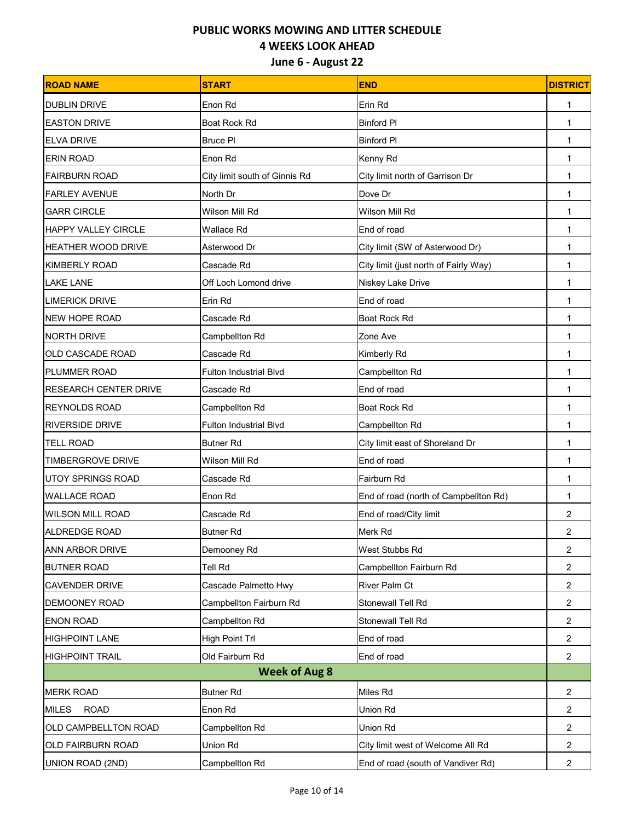| <b>ROAD NAME</b>             | <b>START</b>                  | <b>END</b>                            | <b>DISTRICT</b> |
|------------------------------|-------------------------------|---------------------------------------|-----------------|
| <b>DUBLIN DRIVE</b>          | Enon Rd                       | Erin Rd                               | 1               |
| <b>EASTON DRIVE</b>          | Boat Rock Rd                  | <b>Binford PI</b>                     | 1               |
| <b>ELVA DRIVE</b>            | <b>Bruce PI</b>               | <b>Binford PI</b>                     | 1               |
| <b>ERIN ROAD</b>             | Enon Rd                       | Kenny Rd                              | 1               |
| <b>FAIRBURN ROAD</b>         | City limit south of Ginnis Rd | City limit north of Garrison Dr       | $\mathbf 1$     |
| <b>FARLEY AVENUE</b>         | North Dr                      | Dove Dr                               | 1               |
| <b>GARR CIRCLE</b>           | Wilson Mill Rd                | Wilson Mill Rd                        | 1               |
| <b>HAPPY VALLEY CIRCLE</b>   | Wallace Rd                    | End of road                           | 1               |
| HEATHER WOOD DRIVE           | Asterwood Dr                  | City limit (SW of Asterwood Dr)       | 1               |
| <b>KIMBERLY ROAD</b>         | Cascade Rd                    | City limit (just north of Fairly Way) | 1               |
| <b>LAKE LANE</b>             | Off Loch Lomond drive         | Niskey Lake Drive                     | 1               |
| <b>LIMERICK DRIVE</b>        | Erin Rd                       | End of road                           | 1               |
| <b>NEW HOPE ROAD</b>         | Cascade Rd                    | Boat Rock Rd                          | 1               |
| <b>NORTH DRIVE</b>           | Campbellton Rd                | Zone Ave                              | 1               |
| OLD CASCADE ROAD             | Cascade Rd                    | Kimberly Rd                           | 1               |
| PLUMMER ROAD                 | <b>Fulton Industrial Blvd</b> | Campbellton Rd                        | 1               |
| <b>RESEARCH CENTER DRIVE</b> | Cascade Rd                    | End of road                           | 1               |
| <b>REYNOLDS ROAD</b>         | Campbellton Rd                | Boat Rock Rd                          | 1               |
| <b>RIVERSIDE DRIVE</b>       | <b>Fulton Industrial Blvd</b> | Campbellton Rd                        | 1               |
| <b>TELL ROAD</b>             | <b>Butner Rd</b>              | City limit east of Shoreland Dr       | 1               |
| <b>TIMBERGROVE DRIVE</b>     | Wilson Mill Rd                | End of road                           | 1               |
| <b>UTOY SPRINGS ROAD</b>     | Cascade Rd                    | Fairburn Rd                           | 1               |
| <b>WALLACE ROAD</b>          | Enon Rd                       | End of road (north of Campbellton Rd) | 1               |
| <b>WILSON MILL ROAD</b>      | Cascade Rd                    | End of road/City limit                | $\overline{2}$  |
| <b>ALDREDGE ROAD</b>         | <b>Butner Rd</b>              | Merk Rd                               | $\overline{c}$  |
| ANN ARBOR DRIVE              | Demooney Rd                   | West Stubbs Rd                        | $\overline{2}$  |
| <b>BUTNER ROAD</b>           | Tell Rd                       | Campbellton Fairburn Rd               | $\overline{2}$  |
| <b>CAVENDER DRIVE</b>        | Cascade Palmetto Hwy          | <b>River Palm Ct</b>                  | 2               |
| <b>DEMOONEY ROAD</b>         | Campbellton Fairburn Rd       | Stonewall Tell Rd                     | $\overline{2}$  |
| <b>ENON ROAD</b>             | Campbellton Rd                | Stonewall Tell Rd                     | $\overline{2}$  |
| <b>HIGHPOINT LANE</b>        | High Point Trl                | End of road                           | $\overline{2}$  |
| <b>HIGHPOINT TRAIL</b>       | Old Fairburn Rd               | End of road                           | 2               |
|                              | <b>Week of Aug 8</b>          |                                       |                 |
| <b>MERK ROAD</b>             | <b>Butner Rd</b>              | Miles Rd                              | $\overline{2}$  |
| <b>ROAD</b><br><b>MILES</b>  | Enon Rd                       | Union Rd                              | $\overline{2}$  |
| OLD CAMPBELLTON ROAD         | Campbellton Rd                | Union Rd                              | 2               |
| OLD FAIRBURN ROAD            | Union Rd                      | City limit west of Welcome All Rd     | $\overline{2}$  |
| UNION ROAD (2ND)             | Campbellton Rd                | End of road (south of Vandiver Rd)    | $\overline{c}$  |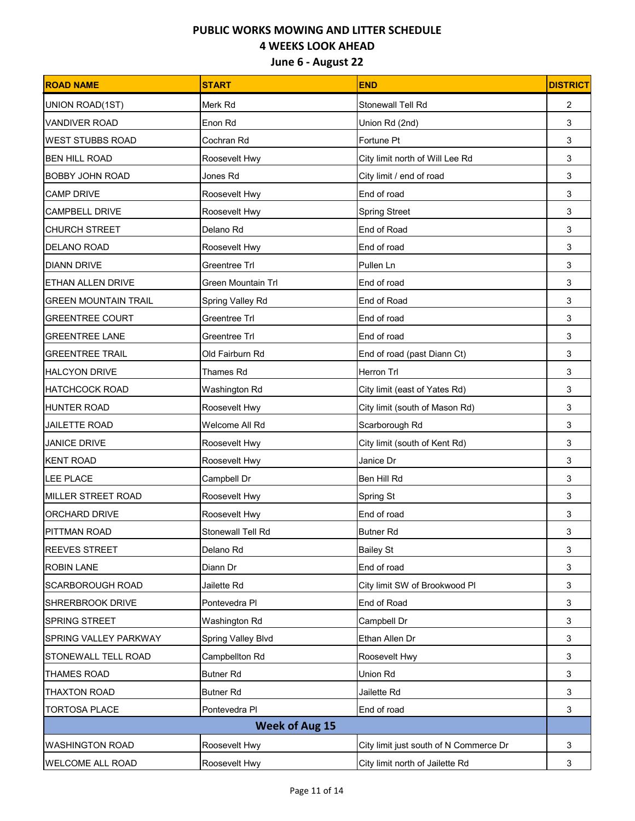| <b>ROAD NAME</b>            | <b>START</b>             | <b>END</b>                             | <b>DISTRICT</b> |
|-----------------------------|--------------------------|----------------------------------------|-----------------|
| UNION ROAD(1ST)             | Merk Rd                  | Stonewall Tell Rd                      | 2               |
| <b>VANDIVER ROAD</b>        | Enon Rd                  | Union Rd (2nd)                         | 3               |
| <b>IWEST STUBBS ROAD</b>    | Cochran Rd               | Fortune Pt                             | 3               |
| <b>BEN HILL ROAD</b>        | Roosevelt Hwy            | City limit north of Will Lee Rd        | 3               |
| <b>BOBBY JOHN ROAD</b>      | Jones Rd                 | City limit / end of road               | 3               |
| <b>CAMP DRIVE</b>           | Roosevelt Hwy            | End of road                            | 3               |
| <b>CAMPBELL DRIVE</b>       | Roosevelt Hwy            | <b>Spring Street</b>                   | 3               |
| <b>CHURCH STREET</b>        | Delano Rd                | End of Road                            | 3               |
| DELANO ROAD                 | Roosevelt Hwy            | End of road                            | 3               |
| <b>DIANN DRIVE</b>          | Greentree Trl            | Pullen Ln                              | 3               |
| <b>ETHAN ALLEN DRIVE</b>    | Green Mountain Trl       | End of road                            | 3               |
| <b>GREEN MOUNTAIN TRAIL</b> | Spring Valley Rd         | End of Road                            | 3               |
| <b>GREENTREE COURT</b>      | Greentree Trl            | End of road                            | 3               |
| <b>GREENTREE LANE</b>       | Greentree Trl            | End of road                            | 3               |
| <b>GREENTREE TRAIL</b>      | Old Fairburn Rd          | End of road (past Diann Ct)            | 3               |
| <b>HALCYON DRIVE</b>        | <b>Thames Rd</b>         | Herron Trl                             | 3               |
| <b>HATCHCOCK ROAD</b>       | Washington Rd            | City limit (east of Yates Rd)          | 3               |
| <b>HUNTER ROAD</b>          | Roosevelt Hwy            | City limit (south of Mason Rd)         | 3               |
| <b>JAILETTE ROAD</b>        | Welcome All Rd           | Scarborough Rd                         | 3               |
| <b>JANICE DRIVE</b>         | Roosevelt Hwy            | City limit (south of Kent Rd)          | 3               |
| <b>KENT ROAD</b>            | Roosevelt Hwy            | Janice Dr                              | 3               |
| LEE PLACE                   | Campbell Dr              | Ben Hill Rd                            | 3               |
| MILLER STREET ROAD          | Roosevelt Hwy            | Spring St                              | 3               |
| ORCHARD DRIVE               | Roosevelt Hwy            | End of road                            | 3               |
| PITTMAN ROAD                | <b>Stonewall Tell Rd</b> | <b>Butner Rd</b>                       | 3               |
| <b>REEVES STREET</b>        | Delano Rd                | <b>Bailey St</b>                       | 3               |
| <b>ROBIN LANE</b>           | Diann Dr                 | End of road                            | 3               |
| <b>SCARBOROUGH ROAD</b>     | Jailette Rd              | City limit SW of Brookwood Pl          | 3               |
| <b>SHRERBROOK DRIVE</b>     | Pontevedra Pl            | End of Road                            | 3               |
| <b>SPRING STREET</b>        | Washington Rd            | Campbell Dr                            | 3               |
| SPRING VALLEY PARKWAY       | Spring Valley Blvd       | Ethan Allen Dr                         | 3               |
| STONEWALL TELL ROAD         | Campbellton Rd           | Roosevelt Hwy                          | 3               |
| <b>THAMES ROAD</b>          | <b>Butner Rd</b>         | Union Rd                               | 3               |
| THAXTON ROAD                | <b>Butner Rd</b>         | Jailette Rd                            | 3               |
| <b>TORTOSA PLACE</b>        | Pontevedra PI            | End of road                            | 3               |
| <b>Week of Aug 15</b>       |                          |                                        |                 |
| <b>WASHINGTON ROAD</b>      | Roosevelt Hwy            | City limit just south of N Commerce Dr | 3               |
| <b>WELCOME ALL ROAD</b>     | Roosevelt Hwy            | City limit north of Jailette Rd        | 3               |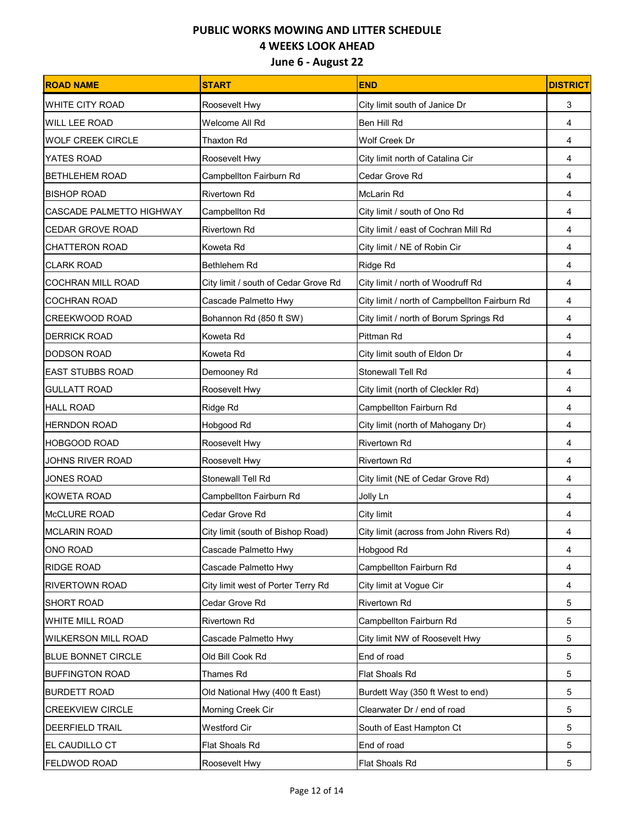| <b>ROAD NAME</b>                | <b>START</b>                         | <b>END</b>                                    | <b>DISTRICT</b> |
|---------------------------------|--------------------------------------|-----------------------------------------------|-----------------|
| <b>WHITE CITY ROAD</b>          | Roosevelt Hwy                        | City limit south of Janice Dr                 | 3               |
| <b>WILL LEE ROAD</b>            | Welcome All Rd                       | Ben Hill Rd                                   | 4               |
| <b>WOLF CREEK CIRCLE</b>        | Thaxton Rd                           | Wolf Creek Dr                                 | 4               |
| YATES ROAD                      | Roosevelt Hwy                        | City limit north of Catalina Cir              | 4               |
| <b>BETHLEHEM ROAD</b>           | Campbellton Fairburn Rd              | Cedar Grove Rd                                | 4               |
| <b>BISHOP ROAD</b>              | <b>Rivertown Rd</b>                  | McLarin Rd                                    | 4               |
| <b>CASCADE PALMETTO HIGHWAY</b> | Campbellton Rd                       | City limit / south of Ono Rd                  | 4               |
| <b>CEDAR GROVE ROAD</b>         | Rivertown Rd                         | City limit / east of Cochran Mill Rd          | 4               |
| <b>CHATTERON ROAD</b>           | Koweta Rd                            | City limit / NE of Robin Cir                  | 4               |
| <b>CLARK ROAD</b>               | Bethlehem Rd                         | Ridge Rd                                      | 4               |
| <b>COCHRAN MILL ROAD</b>        | City limit / south of Cedar Grove Rd | City limit / north of Woodruff Rd             | 4               |
| <b>COCHRAN ROAD</b>             | Cascade Palmetto Hwy                 | City limit / north of Campbellton Fairburn Rd | 4               |
| <b>CREEKWOOD ROAD</b>           | Bohannon Rd (850 ft SW)              | City limit / north of Borum Springs Rd        | 4               |
| <b>DERRICK ROAD</b>             | Koweta Rd                            | Pittman Rd                                    | 4               |
| <b>DODSON ROAD</b>              | Koweta Rd                            | City limit south of Eldon Dr                  | 4               |
| <b>EAST STUBBS ROAD</b>         | Demooney Rd                          | Stonewall Tell Rd                             | 4               |
| <b>GULLATT ROAD</b>             | Roosevelt Hwy                        | City limit (north of Cleckler Rd)             | 4               |
| <b>HALL ROAD</b>                | Ridge Rd                             | Campbellton Fairburn Rd                       | 4               |
| <b>HERNDON ROAD</b>             | Hobgood Rd                           | City limit (north of Mahogany Dr)             | 4               |
| <b>HOBGOOD ROAD</b>             | Roosevelt Hwy                        | Rivertown Rd                                  | 4               |
| <b>JOHNS RIVER ROAD</b>         | Roosevelt Hwy                        | Rivertown Rd                                  | 4               |
| JONES ROAD                      | Stonewall Tell Rd                    | City limit (NE of Cedar Grove Rd)             | 4               |
| <b>KOWETA ROAD</b>              | Campbellton Fairburn Rd              | Jolly Ln                                      | 4               |
| <b>McCLURE ROAD</b>             | Cedar Grove Rd                       | City limit                                    | 4               |
| <b>MCLARIN ROAD</b>             | City limit (south of Bishop Road)    | City limit (across from John Rivers Rd)       | 4               |
| ONO ROAD                        | Cascade Palmetto Hwy                 | Hobgood Rd                                    | 4               |
| <b>RIDGE ROAD</b>               | Cascade Palmetto Hwy                 | Campbellton Fairburn Rd                       | 4               |
| <b>RIVERTOWN ROAD</b>           | City limit west of Porter Terry Rd   | City limit at Vogue Cir                       | 4               |
| <b>SHORT ROAD</b>               | Cedar Grove Rd                       | Rivertown Rd                                  | 5               |
| <b>WHITE MILL ROAD</b>          | <b>Rivertown Rd</b>                  | Campbellton Fairburn Rd                       | 5               |
| <b>WILKERSON MILL ROAD</b>      | Cascade Palmetto Hwy                 | City limit NW of Roosevelt Hwy                | 5               |
| <b>BLUE BONNET CIRCLE</b>       | Old Bill Cook Rd                     | End of road                                   | 5               |
| <b>BUFFINGTON ROAD</b>          | Thames Rd                            | Flat Shoals Rd                                | 5               |
| <b>BURDETT ROAD</b>             | Old National Hwy (400 ft East)       | Burdett Way (350 ft West to end)              | 5               |
| <b>CREEKVIEW CIRCLE</b>         | Morning Creek Cir                    | Clearwater Dr / end of road                   | 5               |
| <b>DEERFIELD TRAIL</b>          | <b>Westford Cir</b>                  | South of East Hampton Ct                      | 5               |
| EL CAUDILLO CT                  | Flat Shoals Rd                       | End of road                                   | 5               |
| FELDWOD ROAD                    | Roosevelt Hwy                        | Flat Shoals Rd                                | 5               |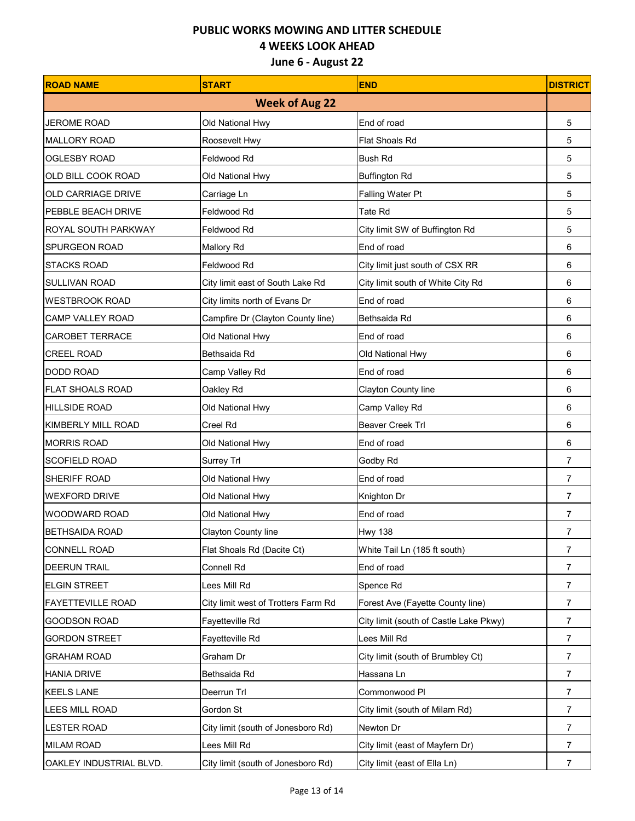| <b>ROAD NAME</b>          | <b>START</b>                        | <b>END</b>                             | <b>DISTRICT</b> |
|---------------------------|-------------------------------------|----------------------------------------|-----------------|
|                           | <b>Week of Aug 22</b>               |                                        |                 |
| <b>JEROME ROAD</b>        | Old National Hwy                    | End of road                            | 5               |
| <b>MALLORY ROAD</b>       | Roosevelt Hwy                       | Flat Shoals Rd                         | 5               |
| <b>OGLESBY ROAD</b>       | Feldwood Rd                         | <b>Bush Rd</b>                         | 5               |
| OLD BILL COOK ROAD        | Old National Hwy                    | <b>Buffington Rd</b>                   | 5               |
| <b>OLD CARRIAGE DRIVE</b> | Carriage Ln                         | Falling Water Pt                       | 5               |
| PEBBLE BEACH DRIVE        | Feldwood Rd                         | Tate Rd                                | 5               |
| ROYAL SOUTH PARKWAY       | Feldwood Rd                         | City limit SW of Buffington Rd         | 5               |
| <b>SPURGEON ROAD</b>      | <b>Mallory Rd</b>                   | End of road                            | 6               |
| <b>STACKS ROAD</b>        | Feldwood Rd                         | City limit just south of CSX RR        | 6               |
| <b>SULLIVAN ROAD</b>      | City limit east of South Lake Rd    | City limit south of White City Rd      | 6               |
| <b>WESTBROOK ROAD</b>     | City limits north of Evans Dr       | End of road                            | 6               |
| <b>CAMP VALLEY ROAD</b>   | Campfire Dr (Clayton County line)   | Bethsaida Rd                           | 6               |
| <b>CAROBET TERRACE</b>    | Old National Hwy                    | End of road                            | 6               |
| <b>CREEL ROAD</b>         | Bethsaida Rd                        | Old National Hwy                       | 6               |
| <b>DODD ROAD</b>          | Camp Valley Rd                      | End of road                            | 6               |
| <b>FLAT SHOALS ROAD</b>   | Oakley Rd                           | Clayton County line                    | 6               |
| <b>HILLSIDE ROAD</b>      | Old National Hwy                    | Camp Valley Rd                         | 6               |
| <b>KIMBERLY MILL ROAD</b> | Creel Rd                            | <b>Beaver Creek Trl</b>                | 6               |
| <b>MORRIS ROAD</b>        | Old National Hwy                    | End of road                            | 6               |
| <b>SCOFIELD ROAD</b>      | Surrey Trl                          | Godby Rd                               | $\overline{7}$  |
| SHERIFF ROAD              | Old National Hwy                    | End of road                            | 7               |
| <b>WEXFORD DRIVE</b>      | Old National Hwy                    | Knighton Dr                            | 7               |
| <b>WOODWARD ROAD</b>      | Old National Hwy                    | End of road                            | 7               |
| <b>BETHSAIDA ROAD</b>     | Clayton County line                 | <b>Hwy 138</b>                         | 7               |
| <b>CONNELL ROAD</b>       | Flat Shoals Rd (Dacite Ct)          | White Tail Ln (185 ft south)           | $\overline{7}$  |
| <b>DEERUN TRAIL</b>       | Connell Rd                          | End of road                            | 7               |
| <b>ELGIN STREET</b>       | Lees Mill Rd                        | Spence Rd                              | 7               |
| <b>FAYETTEVILLE ROAD</b>  | City limit west of Trotters Farm Rd | Forest Ave (Fayette County line)       | 7               |
| <b>GOODSON ROAD</b>       | Fayetteville Rd                     | City limit (south of Castle Lake Pkwy) | $\overline{7}$  |
| <b>GORDON STREET</b>      | Fayetteville Rd                     | Lees Mill Rd                           | $\overline{7}$  |
| <b>GRAHAM ROAD</b>        | Graham Dr                           | City limit (south of Brumbley Ct)      | 7               |
| <b>HANIA DRIVE</b>        | Bethsaida Rd                        | Hassana Ln                             | 7               |
| <b>KEELS LANE</b>         | Deerrun Trl                         | Commonwood PI                          | $\overline{7}$  |
| <b>LEES MILL ROAD</b>     | Gordon St                           | City limit (south of Milam Rd)         | $\overline{7}$  |
| <b>LESTER ROAD</b>        | City limit (south of Jonesboro Rd)  | Newton Dr                              | 7               |
| <b>MILAM ROAD</b>         | Lees Mill Rd                        | City limit (east of Mayfern Dr)        | $\overline{7}$  |
| OAKLEY INDUSTRIAL BLVD.   | City limit (south of Jonesboro Rd)  | City limit (east of Ella Ln)           | $\overline{7}$  |